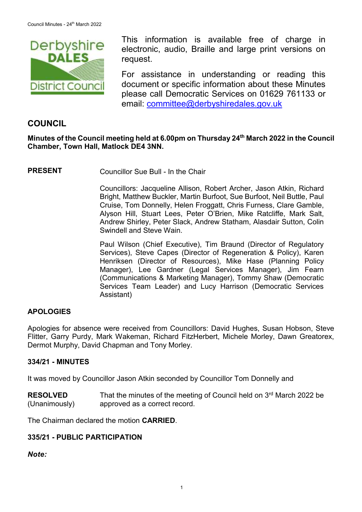

This information is available free of charge in electronic, audio, Braille and large print versions on request.

For assistance in understanding or reading this document or specific information about these Minutes please call Democratic Services on 01629 761133 or email: [committee@derbyshiredales.gov.uk](mailto:brian.evans@derbyshiredales.gov.uk)

# **COUNCIL**

# **Minutes of the Council meeting held at 6.00pm on Thursday 24th March 2022 in the Council Chamber, Town Hall, Matlock DE4 3NN.**

**PRESENT** Councillor Sue Bull - In the Chair

Councillors: Jacqueline Allison, Robert Archer, Jason Atkin, Richard Bright, Matthew Buckler, Martin Burfoot, Sue Burfoot, Neil Buttle, Paul Cruise, Tom Donnelly, Helen Froggatt, Chris Furness, Clare Gamble, Alyson Hill, Stuart Lees, Peter O'Brien, Mike Ratcliffe, Mark Salt, Andrew Shirley, Peter Slack, Andrew Statham, Alasdair Sutton, Colin Swindell and Steve Wain.

Paul Wilson (Chief Executive), Tim Braund (Director of Regulatory Services), Steve Capes (Director of Regeneration & Policy), Karen Henriksen (Director of Resources), Mike Hase (Planning Policy Manager), Lee Gardner (Legal Services Manager), Jim Fearn (Communications & Marketing Manager), Tommy Shaw (Democratic Services Team Leader) and Lucy Harrison (Democratic Services Assistant)

# **APOLOGIES**

Apologies for absence were received from Councillors: David Hughes, Susan Hobson, Steve Flitter, Garry Purdy, Mark Wakeman, Richard FitzHerbert, Michele Morley, Dawn Greatorex, Dermot Murphy, David Chapman and Tony Morley.

## **334/21 - MINUTES**

It was moved by Councillor Jason Atkin seconded by Councillor Tom Donnelly and

**RESOLVED** (Unanimously) That the minutes of the meeting of Council held on 3<sup>rd</sup> March 2022 be approved as a correct record.

The Chairman declared the motion **CARRIED**.

## **335/21 - PUBLIC PARTICIPATION**

*Note:*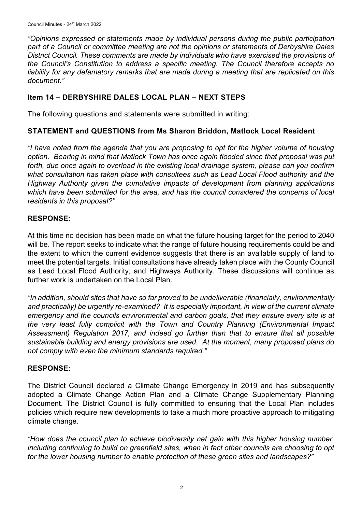*"Opinions expressed or statements made by individual persons during the public participation part of a Council or committee meeting are not the opinions or statements of Derbyshire Dales District Council. These comments are made by individuals who have exercised the provisions of the Council's Constitution to address a specific meeting. The Council therefore accepts no liability for any defamatory remarks that are made during a meeting that are replicated on this document."*

# **Item 14 – DERBYSHIRE DALES LOCAL PLAN – NEXT STEPS**

The following questions and statements were submitted in writing:

# **STATEMENT and QUESTIONS from Ms Sharon Briddon, Matlock Local Resident**

*"I have noted from the agenda that you are proposing to opt for the higher volume of housing option. Bearing in mind that Matlock Town has once again flooded since that proposal was put forth, due once again to overload in the existing local drainage system, please can you confirm what consultation has taken place with consultees such as Lead Local Flood authority and the Highway Authority given the cumulative impacts of development from planning applications which have been submitted for the area, and has the council considered the concerns of local residents in this proposal?"*

# **RESPONSE:**

At this time no decision has been made on what the future housing target for the period to 2040 will be. The report seeks to indicate what the range of future housing requirements could be and the extent to which the current evidence suggests that there is an available supply of land to meet the potential targets. Initial consultations have already taken place with the County Council as Lead Local Flood Authority, and Highways Authority. These discussions will continue as further work is undertaken on the Local Plan.

*"In addition, should sites that have so far proved to be undeliverable (financially, environmentally and practically) be urgently re-examined? It is especially important, in view of the current climate emergency and the councils environmental and carbon goals, that they ensure every site is at the very least fully complicit with the Town and Country Planning (Environmental Impact Assessment) Regulation 2017, and indeed go further than that to ensure that all possible sustainable building and energy provisions are used. At the moment, many proposed plans do not comply with even the minimum standards required."*

# **RESPONSE:**

The District Council declared a Climate Change Emergency in 2019 and has subsequently adopted a Climate Change Action Plan and a Climate Change Supplementary Planning Document. The District Council is fully committed to ensuring that the Local Plan includes policies which require new developments to take a much more proactive approach to mitigating climate change.

*"How does the council plan to achieve biodiversity net gain with this higher housing number, including continuing to build on greenfield sites, when in fact other councils are choosing to opt for the lower housing number to enable protection of these green sites and landscapes?"*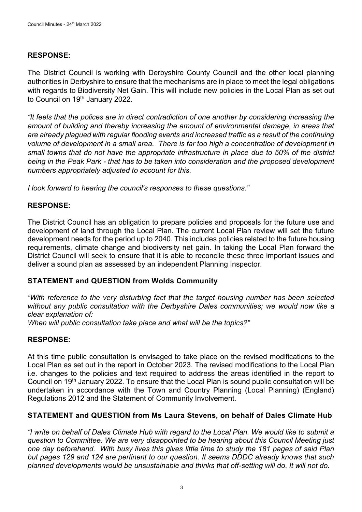# **RESPONSE:**

The District Council is working with Derbyshire County Council and the other local planning authorities in Derbyshire to ensure that the mechanisms are in place to meet the legal obligations with regards to Biodiversity Net Gain. This will include new policies in the Local Plan as set out to Council on 19<sup>th</sup> January 2022.

*"It feels that the polices are in direct contradiction of one another by considering increasing the amount of building and thereby increasing the amount of environmental damage, in areas that are already plagued with regular flooding events and increased traffic as a result of the continuing volume of development in a small area. There is far too high a concentration of development in small towns that do not have the appropriate infrastructure in place due to 50% of the district being in the Peak Park - that has to be taken into consideration and the proposed development numbers appropriately adjusted to account for this.* 

*I look forward to hearing the council's responses to these questions."*

# **RESPONSE:**

The District Council has an obligation to prepare policies and proposals for the future use and development of land through the Local Plan. The current Local Plan review will set the future development needs for the period up to 2040. This includes policies related to the future housing requirements, climate change and biodiversity net gain. In taking the Local Plan forward the District Council will seek to ensure that it is able to reconcile these three important issues and deliver a sound plan as assessed by an independent Planning Inspector.

# **STATEMENT and QUESTION from Wolds Community**

*"With reference to the very disturbing fact that the target housing number has been selected without any public consultation with the Derbyshire Dales communities; we would now like a clear explanation of:* 

*When will public consultation take place and what will be the topics?"*

# **RESPONSE:**

At this time public consultation is envisaged to take place on the revised modifications to the Local Plan as set out in the report in October 2023. The revised modifications to the Local Plan i.e. changes to the policies and text required to address the areas identified in the report to Council on 19th January 2022. To ensure that the Local Plan is sound public consultation will be undertaken in accordance with the Town and Country Planning (Local Planning) (England) Regulations 2012 and the Statement of Community Involvement.

# **STATEMENT and QUESTION from Ms Laura Stevens, on behalf of Dales Climate Hub**

*"I write on behalf of Dales Climate Hub with regard to the Local Plan. We would like to submit a question to Committee. We are very disappointed to be hearing about this Council Meeting just one day beforehand. With busy lives this gives little time to study the 181 pages of said Plan but pages 129 and 124 are pertinent to our question. It seems DDDC already knows that such planned developments would be unsustainable and thinks that off-setting will do. It will not do.*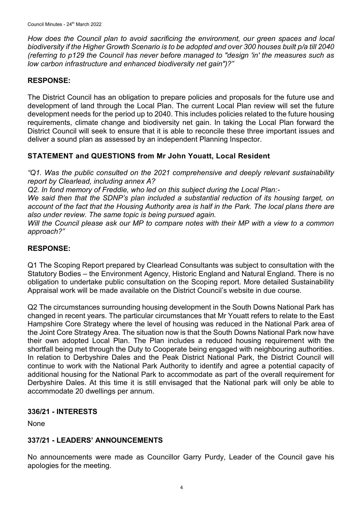*How does the Council plan to avoid sacrificing the environment, our green spaces and local biodiversity if the Higher Growth Scenario is to be adopted and over 300 houses built p/a till 2040 (referring to p129 the Council has never before managed to "design 'in' the measures such as low carbon infrastructure and enhanced biodiversity net gain")?"*

## **RESPONSE:**

The District Council has an obligation to prepare policies and proposals for the future use and development of land through the Local Plan. The current Local Plan review will set the future development needs for the period up to 2040. This includes policies related to the future housing requirements, climate change and biodiversity net gain. In taking the Local Plan forward the District Council will seek to ensure that it is able to reconcile these three important issues and deliver a sound plan as assessed by an independent Planning Inspector.

## **STATEMENT and QUESTIONS from Mr John Youatt, Local Resident**

*"Q1. Was the public consulted on the 2021 comprehensive and deeply relevant sustainability report by Clearlead, including annex A?*

*Q2. In fond memory of Freddie, who led on this subject during the Local Plan:-*

*We said then that the SDNP's plan included a substantial reduction of its housing target, on account of the fact that the Housing Authority area is half in the Park. The local plans there are also under review. The same topic is being pursued again.*

*Will the Council please ask our MP to compare notes with their MP with a view to a common approach?"*

## **RESPONSE:**

Q1 The Scoping Report prepared by Clearlead Consultants was subject to consultation with the Statutory Bodies – the Environment Agency, Historic England and Natural England. There is no obligation to undertake public consultation on the Scoping report. More detailed Sustainability Appraisal work will be made available on the District Council's website in due course.

Q2 The circumstances surrounding housing development in the South Downs National Park has changed in recent years. The particular circumstances that Mr Youatt refers to relate to the East Hampshire Core Strategy where the level of housing was reduced in the National Park area of the Joint Core Strategy Area. The situation now is that the South Downs National Park now have their own adopted Local Plan. The Plan includes a reduced housing requirement with the shortfall being met through the Duty to Cooperate being engaged with neighbouring authorities. In relation to Derbyshire Dales and the Peak District National Park, the District Council will continue to work with the National Park Authority to identify and agree a potential capacity of additional housing for the National Park to accommodate as part of the overall requirement for Derbyshire Dales. At this time it is still envisaged that the National park will only be able to accommodate 20 dwellings per annum.

## **336/21 - INTERESTS**

None

# **337/21 - LEADERS' ANNOUNCEMENTS**

No announcements were made as Councillor Garry Purdy, Leader of the Council gave his apologies for the meeting.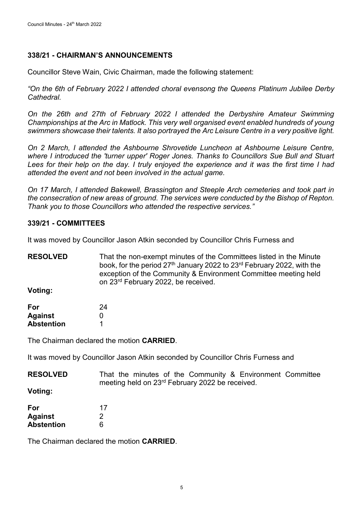## **338/21 - CHAIRMAN'S ANNOUNCEMENTS**

Councillor Steve Wain, Civic Chairman, made the following statement:

*"On the 6th of February 2022 I attended choral evensong the Queens Platinum Jubilee Derby Cathedral.*

*On the 26th and 27th of February 2022 I attended the Derbyshire Amateur Swimming Championships at the Arc in Matlock. This very well organised event enabled hundreds of young swimmers showcase their talents. It also portrayed the Arc Leisure Centre in a very positive light.*

*On 2 March, I attended the Ashbourne Shrovetide Luncheon at Ashbourne Leisure Centre, where I introduced the 'turner upper' Roger Jones. Thanks to Councillors Sue Bull and Stuart Lees for their help on the day. I truly enjoyed the experience and it was the first time I had attended the event and not been involved in the actual game.*

*On 17 March, I attended Bakewell, Brassington and Steeple Arch cemeteries and took part in the consecration of new areas of ground. The services were conducted by the Bishop of Repton. Thank you to those Councillors who attended the respective services."*

## **339/21 - COMMITTEES**

It was moved by Councillor Jason Atkin seconded by Councillor Chris Furness and

**RESOLVED** That the non-exempt minutes of the Committees listed in the Minute book, for the period  $27<sup>th</sup>$  January 2022 to 23<sup>rd</sup> February 2022, with the exception of the Community & Environment Committee meeting held on 23rd February 2022, be received.

**Voting:**

| For        | 24 |
|------------|----|
| Against    | O  |
| Abstention |    |

The Chairman declared the motion **CARRIED**.

It was moved by Councillor Jason Atkin seconded by Councillor Chris Furness and

| <b>RESOLVED</b> |  |  |                                                             | That the minutes of the Community & Environment Committee |  |
|-----------------|--|--|-------------------------------------------------------------|-----------------------------------------------------------|--|
|                 |  |  | meeting held on 23 <sup>rd</sup> February 2022 be received. |                                                           |  |

**Voting:**

| For               | 17 |
|-------------------|----|
| <b>Against</b>    | 2  |
| <b>Abstention</b> | 6  |

The Chairman declared the motion **CARRIED**.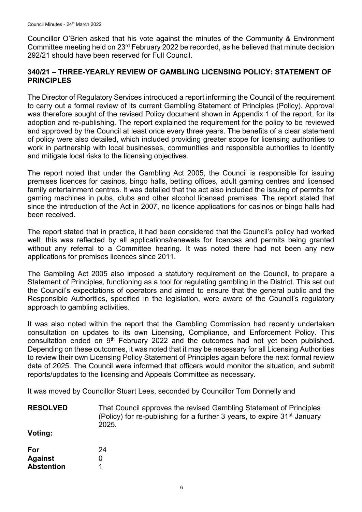Councillor O'Brien asked that his vote against the minutes of the Community & Environment Committee meeting held on 23rd February 2022 be recorded, as he believed that minute decision 292/21 should have been reserved for Full Council.

## **340/21 – THREE-YEARLY REVIEW OF GAMBLING LICENSING POLICY: STATEMENT OF PRINCIPLES**

The Director of Regulatory Services introduced a report informing the Council of the requirement to carry out a formal review of its current Gambling Statement of Principles (Policy). Approval was therefore sought of the revised Policy document shown in Appendix 1 of the report, for its adoption and re-publishing. The report explained the requirement for the policy to be reviewed and approved by the Council at least once every three years. The benefits of a clear statement of policy were also detailed, which included providing greater scope for licensing authorities to work in partnership with local businesses, communities and responsible authorities to identify and mitigate local risks to the licensing objectives.

The report noted that under the Gambling Act 2005, the Council is responsible for issuing premises licences for casinos, bingo halls, betting offices, adult gaming centres and licensed family entertainment centres. It was detailed that the act also included the issuing of permits for gaming machines in pubs, clubs and other alcohol licensed premises. The report stated that since the introduction of the Act in 2007, no licence applications for casinos or bingo halls had been received.

The report stated that in practice, it had been considered that the Council's policy had worked well; this was reflected by all applications/renewals for licences and permits being granted without any referral to a Committee hearing. It was noted there had not been any new applications for premises licences since 2011.

The Gambling Act 2005 also imposed a statutory requirement on the Council, to prepare a Statement of Principles, functioning as a tool for regulating gambling in the District. This set out the Council's expectations of operators and aimed to ensure that the general public and the Responsible Authorities, specified in the legislation, were aware of the Council's regulatory approach to gambling activities.

It was also noted within the report that the Gambling Commission had recently undertaken consultation on updates to its own Licensing, Compliance, and Enforcement Policy. This consultation ended on  $9<sup>th</sup>$  February 2022 and the outcomes had not yet been published. Depending on these outcomes, it was noted that it may be necessary for all Licensing Authorities to review their own Licensing Policy Statement of Principles again before the next formal review date of 2025. The Council were informed that officers would monitor the situation, and submit reports/updates to the licensing and Appeals Committee as necessary.

It was moved by Councillor Stuart Lees, seconded by Councillor Tom Donnelly and

| <b>RESOLVED</b>   | That Council approves the revised Gambling Statement of Principles<br>(Policy) for re-publishing for a further 3 years, to expire 31 <sup>st</sup> January<br>2025. |
|-------------------|---------------------------------------------------------------------------------------------------------------------------------------------------------------------|
| Voting:           |                                                                                                                                                                     |
| For               | 24                                                                                                                                                                  |
| <b>Against</b>    | 0                                                                                                                                                                   |
| <b>Abstention</b> |                                                                                                                                                                     |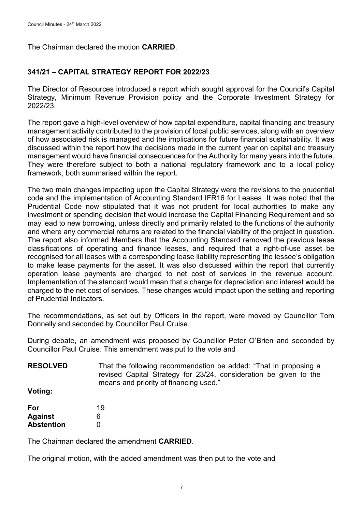The Chairman declared the motion **CARRIED**.

## **341/21 – CAPITAL STRATEGY REPORT FOR 2022/23**

The Director of Resources introduced a report which sought approval for the Council's Capital Strategy, Minimum Revenue Provision policy and the Corporate Investment Strategy for 2022/23.

The report gave a high-level overview of how capital expenditure, capital financing and treasury management activity contributed to the provision of local public services, along with an overview of how associated risk is managed and the implications for future financial sustainability. It was discussed within the report how the decisions made in the current year on capital and treasury management would have financial consequences for the Authority for many years into the future. They were therefore subject to both a national regulatory framework and to a local policy framework, both summarised within the report.

The two main changes impacting upon the Capital Strategy were the revisions to the prudential code and the implementation of Accounting Standard IFR16 for Leases. It was noted that the Prudential Code now stipulated that it was not prudent for local authorities to make any investment or spending decision that would increase the Capital Financing Requirement and so may lead to new borrowing, unless directly and primarily related to the functions of the authority and where any commercial returns are related to the financial viability of the project in question. The report also informed Members that the Accounting Standard removed the previous lease classifications of operating and finance leases, and required that a right-of-use asset be recognised for all leases with a corresponding lease liability representing the lessee's obligation to make lease payments for the asset. It was also discussed within the report that currently operation lease payments are charged to net cost of services in the revenue account. Implementation of the standard would mean that a charge for depreciation and interest would be charged to the net cost of services. These changes would impact upon the setting and reporting of Prudential Indicators.

The recommendations, as set out by Officers in the report, were moved by Councillor Tom Donnelly and seconded by Councillor Paul Cruise.

During debate, an amendment was proposed by Councillor Peter O'Brien and seconded by Councillor Paul Cruise. This amendment was put to the vote and

**RESOLVED** That the following recommendation be added: "That in proposing a revised Capital Strategy for 23/24, consideration be given to the means and priority of financing used."

**Voting:**

| For               | 19 |
|-------------------|----|
| <b>Against</b>    | 6  |
| <b>Abstention</b> | O  |

The Chairman declared the amendment **CARRIED**.

The original motion, with the added amendment was then put to the vote and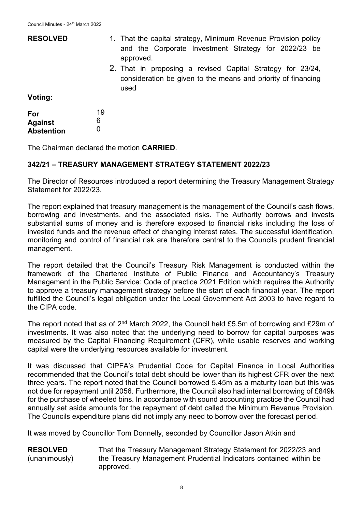| <b>RESOLVED</b>                            | 1. That the capital strategy, Minimum Revenue Provision policy<br>and the Corporate Investment Strategy for 2022/23 be<br>approved. |
|--------------------------------------------|-------------------------------------------------------------------------------------------------------------------------------------|
|                                            | 2. That in proposing a revised Capital Strategy for 23/24,<br>consideration be given to the means and priority of financing<br>used |
| Voting:                                    |                                                                                                                                     |
| For<br><b>Against</b><br><b>Abstention</b> | 19<br>6<br>0                                                                                                                        |

The Chairman declared the motion **CARRIED**.

## **342/21 – TREASURY MANAGEMENT STRATEGY STATEMENT 2022/23**

The Director of Resources introduced a report determining the Treasury Management Strategy Statement for 2022/23.

The report explained that treasury management is the management of the Council's cash flows, borrowing and investments, and the associated risks. The Authority borrows and invests substantial sums of money and is therefore exposed to financial risks including the loss of invested funds and the revenue effect of changing interest rates. The successful identification, monitoring and control of financial risk are therefore central to the Councils prudent financial management.

The report detailed that the Council's Treasury Risk Management is conducted within the framework of the Chartered Institute of Public Finance and Accountancy's Treasury Management in the Public Service: Code of practice 2021 Edition which requires the Authority to approve a treasury management strategy before the start of each financial year. The report fulfilled the Council's legal obligation under the Local Government Act 2003 to have regard to the CIPA code.

The report noted that as of 2<sup>nd</sup> March 2022, the Council held £5.5m of borrowing and £29m of investments. It was also noted that the underlying need to borrow for capital purposes was measured by the Capital Financing Requirement (CFR), while usable reserves and working capital were the underlying resources available for investment.

It was discussed that CIPFA's Prudential Code for Capital Finance in Local Authorities recommended that the Council's total debt should be lower than its highest CFR over the next three years. The report noted that the Council borrowed 5.45m as a maturity loan but this was not due for repayment until 2056. Furthermore, the Council also had internal borrowing of £849k for the purchase of wheeled bins. In accordance with sound accounting practice the Council had annually set aside amounts for the repayment of debt called the Minimum Revenue Provision. The Councils expenditure plans did not imply any need to borrow over the forecast period.

It was moved by Councillor Tom Donnelly, seconded by Councillor Jason Atkin and

**RESOLVED** (unanimously) That the Treasury Management Strategy Statement for 2022/23 and the Treasury Management Prudential Indicators contained within be approved.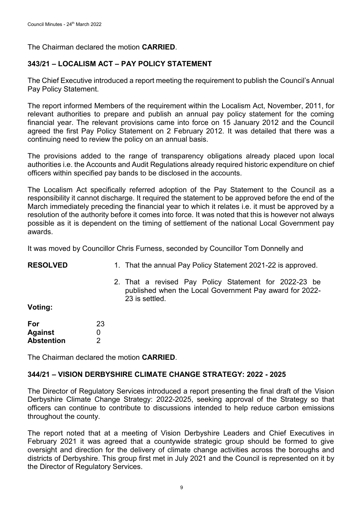The Chairman declared the motion **CARRIED**.

# **343/21 – LOCALISM ACT – PAY POLICY STATEMENT**

The Chief Executive introduced a report meeting the requirement to publish the Council's Annual Pay Policy Statement.

The report informed Members of the requirement within the Localism Act, November, 2011, for relevant authorities to prepare and publish an annual pay policy statement for the coming financial year. The relevant provisions came into force on 15 January 2012 and the Council agreed the first Pay Policy Statement on 2 February 2012. It was detailed that there was a continuing need to review the policy on an annual basis.

The provisions added to the range of transparency obligations already placed upon local authorities i.e. the Accounts and Audit Regulations already required historic expenditure on chief officers within specified pay bands to be disclosed in the accounts.

The Localism Act specifically referred adoption of the Pay Statement to the Council as a responsibility it cannot discharge. It required the statement to be approved before the end of the March immediately preceding the financial year to which it relates i.e. it must be approved by a resolution of the authority before it comes into force. It was noted that this is however not always possible as it is dependent on the timing of settlement of the national Local Government pay awards.

It was moved by Councillor Chris Furness, seconded by Councillor Tom Donnelly and

| <b>RESOLVED</b> | 1. That the annual Pay Policy Statement 2021-22 is approved. |  |
|-----------------|--------------------------------------------------------------|--|
|                 |                                                              |  |

2. That a revised Pay Policy Statement for 2022-23 be published when the Local Government Pay award for 2022- 23 is settled.

**Voting:**

| For               | 23 |
|-------------------|----|
| <b>Against</b>    | O  |
| <b>Abstention</b> | 2  |

The Chairman declared the motion **CARRIED**.

## **344/21 – VISION DERBYSHIRE CLIMATE CHANGE STRATEGY: 2022 - 2025**

The Director of Regulatory Services introduced a report presenting the final draft of the Vision Derbyshire Climate Change Strategy: 2022-2025, seeking approval of the Strategy so that officers can continue to contribute to discussions intended to help reduce carbon emissions throughout the county.

The report noted that at a meeting of Vision Derbyshire Leaders and Chief Executives in February 2021 it was agreed that a countywide strategic group should be formed to give oversight and direction for the delivery of climate change activities across the boroughs and districts of Derbyshire. This group first met in July 2021 and the Council is represented on it by the Director of Regulatory Services.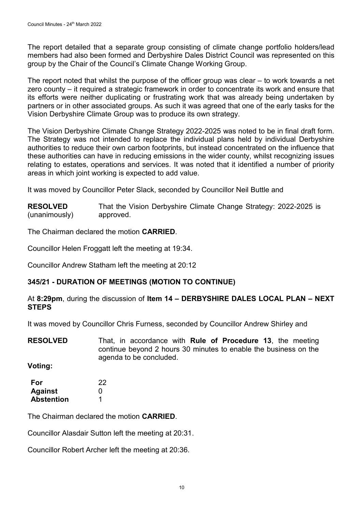The report detailed that a separate group consisting of climate change portfolio holders/lead members had also been formed and Derbyshire Dales District Council was represented on this group by the Chair of the Council's Climate Change Working Group.

The report noted that whilst the purpose of the officer group was clear – to work towards a net zero county – it required a strategic framework in order to concentrate its work and ensure that its efforts were neither duplicating or frustrating work that was already being undertaken by partners or in other associated groups. As such it was agreed that one of the early tasks for the Vision Derbyshire Climate Group was to produce its own strategy.

The Vision Derbyshire Climate Change Strategy 2022-2025 was noted to be in final draft form. The Strategy was not intended to replace the individual plans held by individual Derbyshire authorities to reduce their own carbon footprints, but instead concentrated on the influence that these authorities can have in reducing emissions in the wider county, whilst recognizing issues relating to estates, operations and services. It was noted that it identified a number of priority areas in which joint working is expected to add value.

It was moved by Councillor Peter Slack, seconded by Councillor Neil Buttle and

| <b>RESOLVED</b> | That the Vision Derbyshire Climate Change Strategy: 2022-2025 is |
|-----------------|------------------------------------------------------------------|
| (unanimously)   | approved.                                                        |

The Chairman declared the motion **CARRIED**.

Councillor Helen Froggatt left the meeting at 19:34.

Councillor Andrew Statham left the meeting at 20:12

# **345/21 - DURATION OF MEETINGS (MOTION TO CONTINUE)**

## At **8:29pm**, during the discussion of **Item 14 – DERBYSHIRE DALES LOCAL PLAN – NEXT STEPS**

It was moved by Councillor Chris Furness, seconded by Councillor Andrew Shirley and

**RESOLVED** That, in accordance with **Rule of Procedure 13**, the meeting continue beyond 2 hours 30 minutes to enable the business on the agenda to be concluded.

**Voting:**

**For Against Abstention** 22  $\Omega$ 1

The Chairman declared the motion **CARRIED**.

Councillor Alasdair Sutton left the meeting at 20:31.

Councillor Robert Archer left the meeting at 20:36.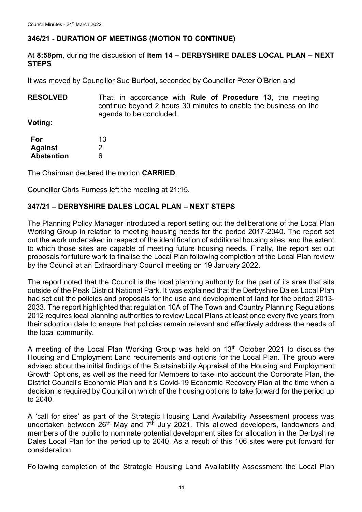# **346/21 - DURATION OF MEETINGS (MOTION TO CONTINUE)**

At **8:58pm**, during the discussion of **Item 14 – DERBYSHIRE DALES LOCAL PLAN – NEXT STEPS**

It was moved by Councillor Sue Burfoot, seconded by Councillor Peter O'Brien and

**RESOLVED** That, in accordance with **Rule of Procedure 13**, the meeting continue beyond 2 hours 30 minutes to enable the business on the agenda to be concluded.

**Voting:**

| For               | 13 |
|-------------------|----|
| <b>Against</b>    | 2  |
| <b>Abstention</b> | 6  |

The Chairman declared the motion **CARRIED**.

Councillor Chris Furness left the meeting at 21:15.

# **347/21 – DERBYSHIRE DALES LOCAL PLAN – NEXT STEPS**

The Planning Policy Manager introduced a report setting out the deliberations of the Local Plan Working Group in relation to meeting housing needs for the period 2017-2040. The report set out the work undertaken in respect of the identification of additional housing sites, and the extent to which those sites are capable of meeting future housing needs. Finally, the report set out proposals for future work to finalise the Local Plan following completion of the Local Plan review by the Council at an Extraordinary Council meeting on 19 January 2022.

The report noted that the Council is the local planning authority for the part of its area that sits outside of the Peak District National Park. It was explained that the Derbyshire Dales Local Plan had set out the policies and proposals for the use and development of land for the period 2013- 2033. The report highlighted that regulation 10A of The Town and Country Planning Regulations 2012 requires local planning authorities to review Local Plans at least once every five years from their adoption date to ensure that policies remain relevant and effectively address the needs of the local community.

A meeting of the Local Plan Working Group was held on 13<sup>th</sup> October 2021 to discuss the Housing and Employment Land requirements and options for the Local Plan. The group were advised about the initial findings of the Sustainability Appraisal of the Housing and Employment Growth Options, as well as the need for Members to take into account the Corporate Plan, the District Council's Economic Plan and it's Covid-19 Economic Recovery Plan at the time when a decision is required by Council on which of the housing options to take forward for the period up to 2040.

A 'call for sites' as part of the Strategic Housing Land Availability Assessment process was undertaken between  $26<sup>th</sup>$  May and  $7<sup>th</sup>$  July 2021. This allowed developers, landowners and members of the public to nominate potential development sites for allocation in the Derbyshire Dales Local Plan for the period up to 2040. As a result of this 106 sites were put forward for consideration.

Following completion of the Strategic Housing Land Availability Assessment the Local Plan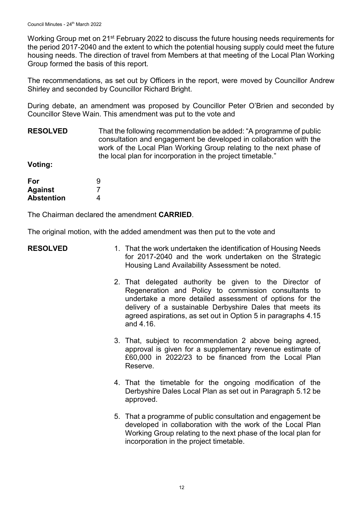Working Group met on 21<sup>st</sup> February 2022 to discuss the future housing needs requirements for the period 2017-2040 and the extent to which the potential housing supply could meet the future housing needs. The direction of travel from Members at that meeting of the Local Plan Working Group formed the basis of this report.

The recommendations, as set out by Officers in the report, were moved by Councillor Andrew Shirley and seconded by Councillor Richard Bright.

During debate, an amendment was proposed by Councillor Peter O'Brien and seconded by Councillor Steve Wain. This amendment was put to the vote and

**RESOLVED** That the following recommendation be added: "A programme of public consultation and engagement be developed in collaboration with the work of the Local Plan Working Group relating to the next phase of the local plan for incorporation in the project timetable."

**Voting:**

| For               | 9 |
|-------------------|---|
| <b>Against</b>    |   |
| <b>Abstention</b> | 4 |

The Chairman declared the amendment **CARRIED**.

The original motion, with the added amendment was then put to the vote and

- **RESOLVED** 1. That the work undertaken the identification of Housing Needs for 2017-2040 and the work undertaken on the Strategic Housing Land Availability Assessment be noted.
	- 2. That delegated authority be given to the Director of Regeneration and Policy to commission consultants to undertake a more detailed assessment of options for the delivery of a sustainable Derbyshire Dales that meets its agreed aspirations, as set out in Option 5 in paragraphs 4.15 and 4.16.
	- 3. That, subject to recommendation 2 above being agreed, approval is given for a supplementary revenue estimate of £60,000 in 2022/23 to be financed from the Local Plan Reserve.
	- 4. That the timetable for the ongoing modification of the Derbyshire Dales Local Plan as set out in Paragraph 5.12 be approved.
	- 5. That a programme of public consultation and engagement be developed in collaboration with the work of the Local Plan Working Group relating to the next phase of the local plan for incorporation in the project timetable.